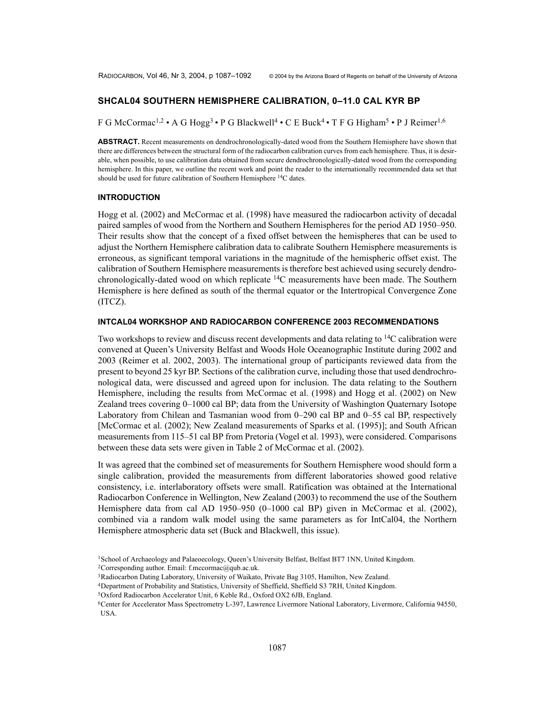# **SHCAL04 SOUTHERN HEMISPHERE CALIBRATION, 0–11.0 CAL KYR BP**

F G McCormac<sup>1,2</sup> • A G Hogg<sup>3</sup> • P G Blackwell<sup>4</sup> • C E Buck<sup>4</sup> • T F G Higham<sup>5</sup> • P J Reimer<sup>1,6</sup>

**ABSTRACT.** Recent measurements on dendrochronologically-dated wood from the Southern Hemisphere have shown that there are differences between the structural form of the radiocarbon calibration curves from each hemisphere. Thus, it is desirable, when possible, to use calibration data obtained from secure dendrochronologically-dated wood from the corresponding hemisphere. In this paper, we outline the recent work and point the reader to the internationally recommended data set that should be used for future calibration of Southern Hemisphere <sup>14</sup>C dates.

## **INTRODUCTION**

Hogg et al. (2002) and McCormac et al. (1998) have measured the radiocarbon activity of decadal paired samples of wood from the Northern and Southern Hemispheres for the period AD 1950–950. Their results show that the concept of a fixed offset between the hemispheres that can be used to adjust the Northern Hemisphere calibration data to calibrate Southern Hemisphere measurements is erroneous, as significant temporal variations in the magnitude of the hemispheric offset exist. The calibration of Southern Hemisphere measurements is therefore best achieved using securely dendrochronologically-dated wood on which replicate 14C measurements have been made. The Southern Hemisphere is here defined as south of the thermal equator or the Intertropical Convergence Zone (ITCZ).

### **INTCAL04 WORKSHOP AND RADIOCARBON CONFERENCE 2003 RECOMMENDATIONS**

Two workshops to review and discuss recent developments and data relating to <sup>14</sup>C calibration were convened at Queen's University Belfast and Woods Hole Oceanographic Institute during 2002 and 2003 (Reimer et al. 2002, 2003). The international group of participants reviewed data from the present to beyond 25 kyr BP. Sections of the calibration curve, including those that used dendrochronological data, were discussed and agreed upon for inclusion. The data relating to the Southern Hemisphere, including the results from McCormac et al. (1998) and Hogg et al. (2002) on New Zealand trees covering 0–1000 cal BP; data from the University of Washington Quaternary Isotope Laboratory from Chilean and Tasmanian wood from 0–290 cal BP and 0–55 cal BP, respectively [McCormac et al. (2002); New Zealand measurements of Sparks et al. (1995)]; and South African measurements from 115–51 cal BP from Pretoria (Vogel et al. 1993), were considered. Comparisons between these data sets were given in Table 2 of McCormac et al. (2002).

It was agreed that the combined set of measurements for Southern Hemisphere wood should form a single calibration, provided the measurements from different laboratories showed good relative consistency, i.e. interlaboratory offsets were small. Ratification was obtained at the International Radiocarbon Conference in Wellington, New Zealand (2003) to recommend the use of the Southern Hemisphere data from cal AD 1950–950 (0–1000 cal BP) given in McCormac et al. (2002), combined via a random walk model using the same parameters as for IntCal04, the Northern Hemisphere atmospheric data set (Buck and Blackwell, this issue).

<sup>1</sup>School of Archaeology and Palaeoecology, Queen's University Belfast, Belfast BT7 1NN, United Kingdom. 2Corresponding author. Email: f.mccormac@qub.ac.uk.

<sup>&</sup>lt;sup>3</sup>Radiocarbon Dating Laboratory, University of Waikato, Private Bag 3105, Hamilton, New Zealand.

<sup>4</sup>Department of Probability and Statistics, University of Sheffield, Sheffield S3 7RH, United Kingdom.

<sup>5</sup>Oxford Radiocarbon Accelerator Unit, 6 Keble Rd., Oxford OX2 6JB, England.

<sup>6</sup>Center for Accelerator Mass Spectrometry L-397, Lawrence Livermore National Laboratory, Livermore, California 94550, USA.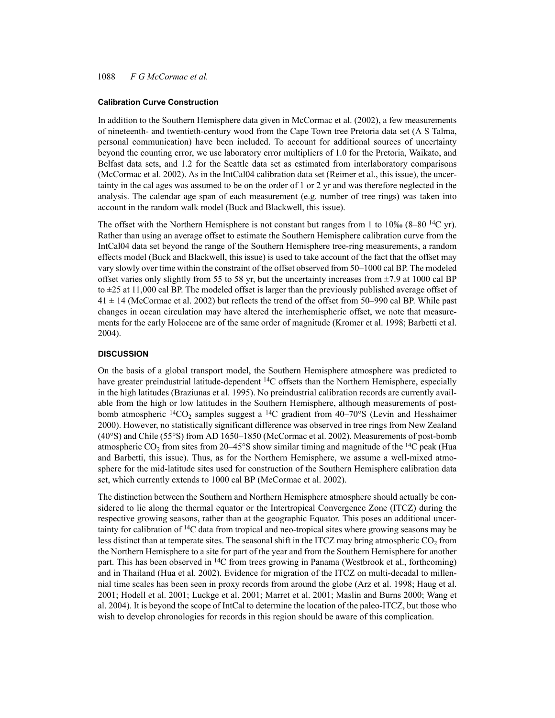# 1088 *F G McCormac et al.*

#### **Calibration Curve Construction**

In addition to the Southern Hemisphere data given in McCormac et al. (2002), a few measurements of nineteenth- and twentieth-century wood from the Cape Town tree Pretoria data set (A S Talma, personal communication) have been included. To account for additional sources of uncertainty beyond the counting error, we use laboratory error multipliers of 1.0 for the Pretoria, Waikato, and Belfast data sets, and 1.2 for the Seattle data set as estimated from interlaboratory comparisons (McCormac et al. 2002). As in the IntCal04 calibration data set (Reimer et al., this issue), the uncertainty in the cal ages was assumed to be on the order of 1 or 2 yr and was therefore neglected in the analysis. The calendar age span of each measurement (e.g. number of tree rings) was taken into account in the random walk model (Buck and Blackwell, this issue).

The offset with the Northern Hemisphere is not constant but ranges from 1 to 10‰ (8–80  $14C$  yr). Rather than using an average offset to estimate the Southern Hemisphere calibration curve from the IntCal04 data set beyond the range of the Southern Hemisphere tree-ring measurements, a random effects model (Buck and Blackwell, this issue) is used to take account of the fact that the offset may vary slowly over time within the constraint of the offset observed from 50–1000 cal BP. The modeled offset varies only slightly from 55 to 58 yr, but the uncertainty increases from  $\pm$ 7.9 at 1000 cal BP to  $\pm 25$  at 11,000 cal BP. The modeled offset is larger than the previously published average offset of  $41 \pm 14$  (McCormac et al. 2002) but reflects the trend of the offset from 50–990 cal BP. While past changes in ocean circulation may have altered the interhemispheric offset, we note that measurements for the early Holocene are of the same order of magnitude (Kromer et al. 1998; Barbetti et al. 2004).

### **DISCUSSION**

On the basis of a global transport model, the Southern Hemisphere atmosphere was predicted to have greater preindustrial latitude-dependent <sup>14</sup>C offsets than the Northern Hemisphere, especially in the high latitudes (Braziunas et al. 1995). No preindustrial calibration records are currently available from the high or low latitudes in the Southern Hemisphere, although measurements of postbomb atmospheric  $\frac{14}{10}$ , samples suggest a  $\frac{14}{10}$  gradient from 40–70°S (Levin and Hesshaimer 2000). However, no statistically significant difference was observed in tree rings from New Zealand (40°S) and Chile (55°S) from AD 1650–1850 (McCormac et al. 2002). Measurements of post-bomb atmospheric CO<sub>2</sub> from sites from 20–45°S show similar timing and magnitude of the <sup>14</sup>C peak (Hua and Barbetti, this issue). Thus, as for the Northern Hemisphere, we assume a well-mixed atmosphere for the mid-latitude sites used for construction of the Southern Hemisphere calibration data set, which currently extends to 1000 cal BP (McCormac et al. 2002).

The distinction between the Southern and Northern Hemisphere atmosphere should actually be considered to lie along the thermal equator or the Intertropical Convergence Zone (ITCZ) during the respective growing seasons, rather than at the geographic Equator. This poses an additional uncertainty for calibration of  ${}^{14}C$  data from tropical and neo-tropical sites where growing seasons may be less distinct than at temperate sites. The seasonal shift in the ITCZ may bring atmospheric  $CO<sub>2</sub>$  from the Northern Hemisphere to a site for part of the year and from the Southern Hemisphere for another part. This has been observed in <sup>14</sup>C from trees growing in Panama (Westbrook et al., forthcoming) and in Thailand (Hua et al. 2002). Evidence for migration of the ITCZ on multi-decadal to millennial time scales has been seen in proxy records from around the globe (Arz et al. 1998; Haug et al. 2001; Hodell et al. 2001; Luckge et al. 2001; Marret et al. 2001; Maslin and Burns 2000; Wang et al. 2004). It is beyond the scope of IntCal to determine the location of the paleo-ITCZ, but those who wish to develop chronologies for records in this region should be aware of this complication.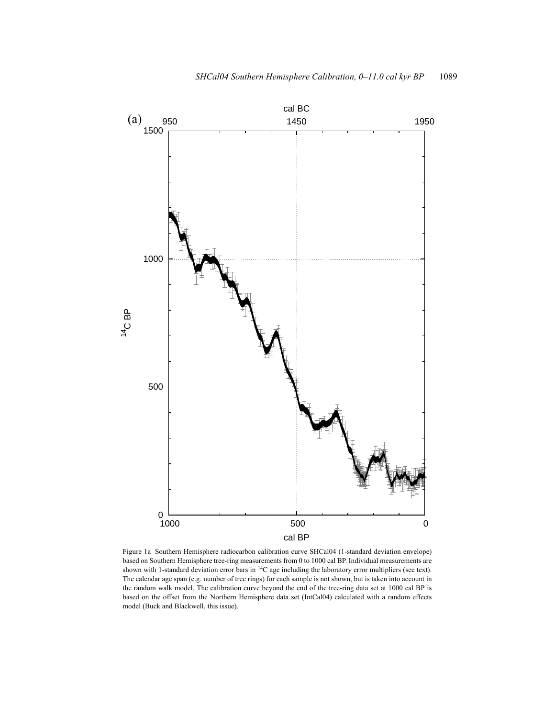

Figure 1a Southern Hemisphere radiocarbon calibration curve SHCal04 (1-standard deviation envelope) based on Southern Hemisphere tree-ring measurements from 0 to 1000 cal BP. Individual measurements are shown with 1-standard deviation error bars in 14C age including the laboratory error multipliers (see text). The calendar age span (e.g. number of tree rings) for each sample is not shown, but is taken into account in the random walk model. The calibration curve beyond the end of the tree-ring data set at 1000 cal BP is based on the offset from the Northern Hemisphere data set (IntCal04) calculated with a random effects model (Buck and Blackwell, this issue).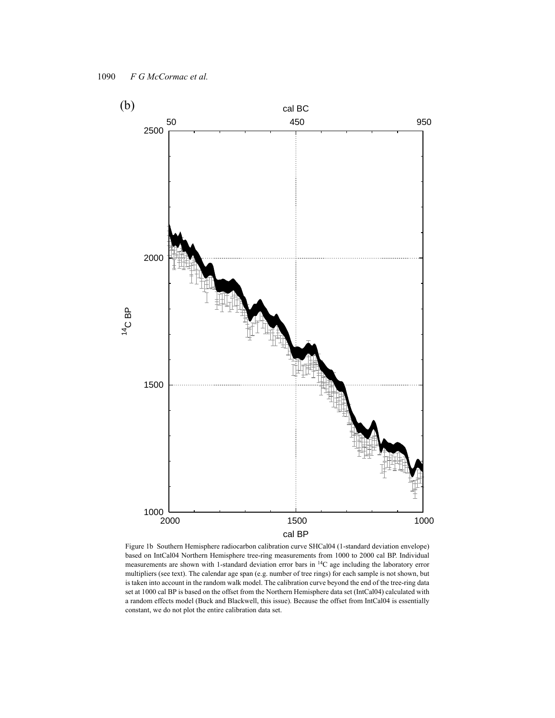

Figure 1b Southern Hemisphere radiocarbon calibration curve SHCal04 (1-standard deviation envelope) based on IntCal04 Northern Hemisphere tree-ring measurements from 1000 to 2000 cal BP. Individual measurements are shown with 1-standard deviation error bars in 14C age including the laboratory error multipliers (see text). The calendar age span (e.g. number of tree rings) for each sample is not shown, but is taken into account in the random walk model. The calibration curve beyond the end of the tree-ring data set at 1000 cal BP is based on the offset from the Northern Hemisphere data set (IntCal04) calculated with a random effects model (Buck and Blackwell, this issue). Because the offset from IntCal04 is essentially constant, we do not plot the entire calibration data set.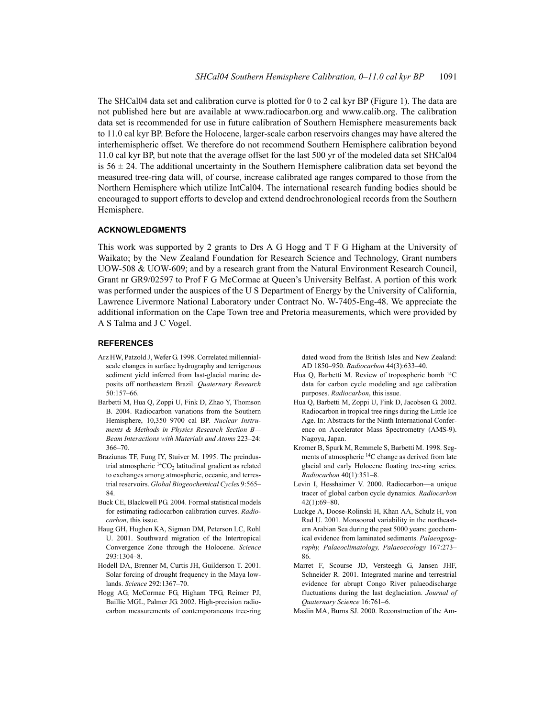The SHCal04 data set and calibration curve is plotted for 0 to 2 cal kyr BP (Figure 1). The data are not published here but are available at www.radiocarbon.org and www.calib.org. The calibration data set is recommended for use in future calibration of Southern Hemisphere measurements back to 11.0 cal kyr BP. Before the Holocene, larger-scale carbon reservoirs changes may have altered the interhemispheric offset. We therefore do not recommend Southern Hemisphere calibration beyond 11.0 cal kyr BP, but note that the average offset for the last 500 yr of the modeled data set SHCal04 is  $56 \pm 24$ . The additional uncertainty in the Southern Hemisphere calibration data set beyond the measured tree-ring data will, of course, increase calibrated age ranges compared to those from the Northern Hemisphere which utilize IntCal04. The international research funding bodies should be encouraged to support efforts to develop and extend dendrochronological records from the Southern Hemisphere.

# **ACKNOWLEDGMENTS**

This work was supported by 2 grants to Drs A G Hogg and T F G Higham at the University of Waikato; by the New Zealand Foundation for Research Science and Technology, Grant numbers UOW-508 & UOW-609; and by a research grant from the Natural Environment Research Council, Grant nr GR9/02597 to Prof F G McCormac at Queen's University Belfast. A portion of this work was performed under the auspices of the U S Department of Energy by the University of California, Lawrence Livermore National Laboratory under Contract No. W-7405-Eng-48. We appreciate the additional information on the Cape Town tree and Pretoria measurements, which were provided by A S Talma and J C Vogel.

## **REFERENCES**

- Arz HW, Patzold J, Wefer G. 1998. Correlated millennialscale changes in surface hydrography and terrigenous sediment yield inferred from last-glacial marine deposits off northeastern Brazil. *Quaternary Research* 50:157–66.
- Barbetti M, Hua Q, Zoppi U, Fink D, Zhao Y, Thomson B. 2004. Radiocarbon variations from the Southern Hemisphere, 10,350–9700 cal BP. *Nuclear Instruments & Methods in Physics Research Section B— Beam Interactions with Materials and Atoms* 223–24: 366–70.
- Braziunas TF, Fung IY, Stuiver M. 1995. The preindustrial atmospheric  ${}^{14}CO_2$  latitudinal gradient as related to exchanges among atmospheric, oceanic, and terrestrial reservoirs. *Global Biogeochemical Cycles* 9:565– 84.
- Buck CE, Blackwell PG. 2004. Formal statistical models for estimating radiocarbon calibration curves. *Radiocarbon*, this issue.
- Haug GH, Hughen KA, Sigman DM, Peterson LC, Rohl U. 2001. Southward migration of the Intertropical Convergence Zone through the Holocene. *Science* 293:1304–8.
- Hodell DA, Brenner M, Curtis JH, Guilderson T. 2001. Solar forcing of drought frequency in the Maya lowlands. *Science* 292:1367–70.
- Hogg AG, McCormac FG, Higham TFG, Reimer PJ, Baillie MGL, Palmer JG. 2002. High-precision radiocarbon measurements of contemporaneous tree-ring

dated wood from the British Isles and New Zealand: AD 1850–950. *Radiocarbon* 44(3):633–40.

- Hua Q, Barbetti M. Review of tropospheric bomb <sup>14</sup>C data for carbon cycle modeling and age calibration purposes. *Radiocarbon*, this issue.
- Hua Q, Barbetti M, Zoppi U, Fink D, Jacobsen G. 2002. Radiocarbon in tropical tree rings during the Little Ice Age. In: Abstracts for the Ninth International Conference on Accelerator Mass Spectrometry (AMS-9). Nagoya, Japan.
- Kromer B, Spurk M, Remmele S, Barbetti M. 1998. Segments of atmospheric 14C change as derived from late glacial and early Holocene floating tree-ring series. *Radiocarbon* 40(1):351–8.
- Levin I, Hesshaimer V. 2000. Radiocarbon—a unique tracer of global carbon cycle dynamics. *Radiocarbon* 42(1):69–80.
- Luckge A, Doose-Rolinski H, Khan AA, Schulz H, von Rad U. 2001. Monsoonal variability in the northeastern Arabian Sea during the past 5000 years: geochemical evidence from laminated sediments. *Palaeogeography, Palaeoclimatology, Palaeoecology* 167:273– 86.
- Marret F, Scourse JD, Versteegh G, Jansen JHF, Schneider R. 2001. Integrated marine and terrestrial evidence for abrupt Congo River palaeodischarge fluctuations during the last deglaciation. *Journal of Quaternary Science* 16:761–6.
- Maslin MA, Burns SJ. 2000. Reconstruction of the Am-